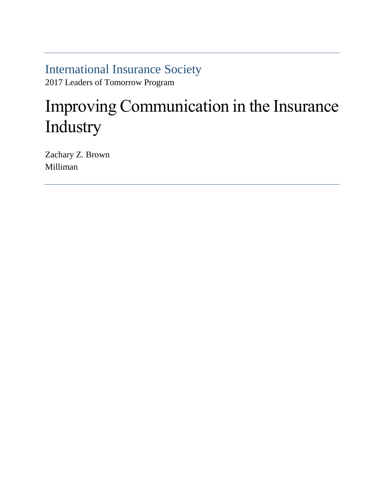International Insurance Society 2017 Leaders of Tomorrow Program

# Improving Communication in the Insurance Industry

Zachary Z. Brown Milliman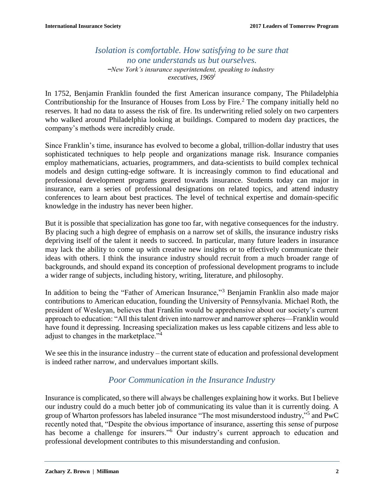## *Isolation is comfortable. How satisfying to be sure that no one understands us but ourselves. ̶New York's insurance superintendent, speaking to industry executives, 1969<sup>1</sup>*

In 1752, Benjamin Franklin founded the first American insurance company, The Philadelphia Contributionship for the Insurance of Houses from Loss by Fire.<sup>2</sup> The company initially held no reserves. It had no data to assess the risk of fire. Its underwriting relied solely on two carpenters who walked around Philadelphia looking at buildings. Compared to modern day practices, the company's methods were incredibly crude.

Since Franklin's time, insurance has evolved to become a global, trillion-dollar industry that uses sophisticated techniques to help people and organizations manage risk. Insurance companies employ mathematicians, actuaries, programmers, and data-scientists to build complex technical models and design cutting-edge software. It is increasingly common to find educational and professional development programs geared towards insurance. Students today can major in insurance, earn a series of professional designations on related topics, and attend industry conferences to learn about best practices. The level of technical expertise and domain-specific knowledge in the industry has never been higher.

But it is possible that specialization has gone too far, with negative consequences for the industry. By placing such a high degree of emphasis on a narrow set of skills, the insurance industry risks depriving itself of the talent it needs to succeed. In particular, many future leaders in insurance may lack the ability to come up with creative new insights or to effectively communicate their ideas with others. I think the insurance industry should recruit from a much broader range of backgrounds, and should expand its conception of professional development programs to include a wider range of subjects, including history, writing, literature, and philosophy.

In addition to being the "Father of American Insurance,"<sup>3</sup> Benjamin Franklin also made major contributions to American education, founding the University of Pennsylvania. Michael Roth, the president of Wesleyan, believes that Franklin would be apprehensive about our society's current approach to education: "All this talent driven into narrower and narrower spheres—Franklin would have found it depressing. Increasing specialization makes us less capable citizens and less able to adjust to changes in the marketplace."<sup>4</sup>

We see this in the insurance industry – the current state of education and professional development is indeed rather narrow, and undervalues important skills.

## *Poor Communication in the Insurance Industry*

Insurance is complicated, so there will always be challenges explaining how it works. But I believe our industry could do a much better job of communicating its value than it is currently doing. A group of Wharton professors has labeled insurance "The most misunderstood industry,"<sup>5</sup> and PwC recently noted that, "Despite the obvious importance of insurance, asserting this sense of purpose has become a challenge for insurers."<sup>6</sup> Our industry's current approach to education and professional development contributes to this misunderstanding and confusion.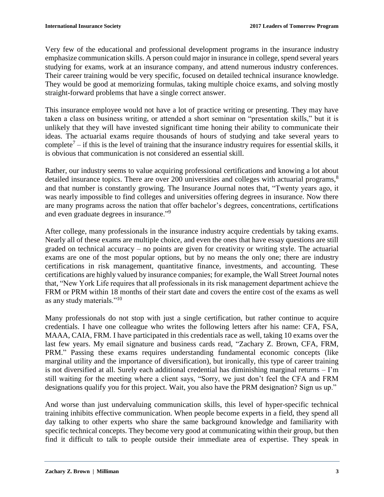Very few of the educational and professional development programs in the insurance industry emphasize communication skills. A person could major in insurance in college, spend several years studying for exams, work at an insurance company, and attend numerous industry conferences. Their career training would be very specific, focused on detailed technical insurance knowledge. They would be good at memorizing formulas, taking multiple choice exams, and solving mostly straight-forward problems that have a single correct answer.

This insurance employee would not have a lot of practice writing or presenting. They may have taken a class on business writing, or attended a short seminar on "presentation skills," but it is unlikely that they will have invested significant time honing their ability to communicate their ideas. The actuarial exams require thousands of hours of studying and take several years to complete<sup>7</sup> – if this is the level of training that the insurance industry requires for essential skills, it is obvious that communication is not considered an essential skill.

Rather, our industry seems to value acquiring professional certifications and knowing a lot about detailed insurance topics. There are over 200 universities and colleges with actuarial programs,<sup>8</sup> and that number is constantly growing. The Insurance Journal notes that, "Twenty years ago, it was nearly impossible to find colleges and universities offering degrees in insurance. Now there are many programs across the nation that offer bachelor's degrees, concentrations, certifications and even graduate degrees in insurance."<sup>9</sup>

After college, many professionals in the insurance industry acquire credentials by taking exams. Nearly all of these exams are multiple choice, and even the ones that have essay questions are still graded on technical accuracy – no points are given for creativity or writing style. The actuarial exams are one of the most popular options, but by no means the only one; there are industry certifications in risk management, quantitative finance, investments, and accounting. These certifications are highly valued by insurance companies; for example, the Wall Street Journal notes that, "New York Life requires that all professionals in its risk management department achieve the FRM or PRM within 18 months of their start date and covers the entire cost of the exams as well as any study materials."<sup>10</sup>

Many professionals do not stop with just a single certification, but rather continue to acquire credentials. I have one colleague who writes the following letters after his name: CFA, FSA, MAAA, CAIA, FRM. I have participated in this credentials race as well, taking 10 exams over the last few years. My email signature and business cards read, "Zachary Z. Brown, CFA, FRM, PRM." Passing these exams requires understanding fundamental economic concepts (like marginal utility and the importance of diversification), but ironically, this type of career training is not diversified at all. Surely each additional credential has diminishing marginal returns – I'm still waiting for the meeting where a client says, "Sorry, we just don't feel the CFA and FRM designations qualify you for this project. Wait, you also have the PRM designation? Sign us up."

And worse than just undervaluing communication skills, this level of hyper-specific technical training inhibits effective communication. When people become experts in a field, they spend all day talking to other experts who share the same background knowledge and familiarity with specific technical concepts. They become very good at communicating within their group, but then find it difficult to talk to people outside their immediate area of expertise. They speak in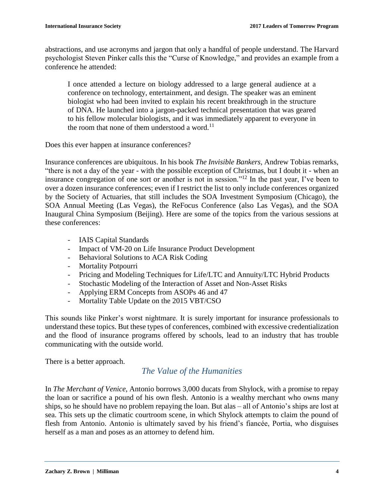abstractions, and use acronyms and jargon that only a handful of people understand. The Harvard psychologist Steven Pinker calls this the "Curse of Knowledge," and provides an example from a conference he attended:

I once attended a lecture on biology addressed to a large general audience at a conference on technology, entertainment, and design. The speaker was an eminent biologist who had been invited to explain his recent breakthrough in the structure of DNA. He launched into a jargon-packed technical presentation that was geared to his fellow molecular biologists, and it was immediately apparent to everyone in the room that none of them understood a word.<sup>11</sup>

Does this ever happen at insurance conferences?

Insurance conferences are ubiquitous. In his book *The Invisible Bankers*, Andrew Tobias remarks, "there is not a day of the year - with the possible exception of Christmas, but I doubt it - when an insurance congregation of one sort or another is not in session."<sup>12</sup> In the past year, I've been to over a dozen insurance conferences; even if I restrict the list to only include conferences organized by the Society of Actuaries, that still includes the SOA Investment Symposium (Chicago), the SOA Annual Meeting (Las Vegas), the ReFocus Conference (also Las Vegas), and the SOA Inaugural China Symposium (Beijing). Here are some of the topics from the various sessions at these conferences:

- IAIS Capital Standards
- Impact of VM‐20 on Life Insurance Product Development
- Behavioral Solutions to ACA Risk Coding
- Mortality Potpourri
- Pricing and Modeling Techniques for Life/LTC and Annuity/LTC Hybrid Products
- Stochastic Modeling of the Interaction of Asset and Non-Asset Risks
- Applying ERM Concepts from ASOPs 46 and 47
- Mortality Table Update on the 2015 VBT/CSO

This sounds like Pinker's worst nightmare. It is surely important for insurance professionals to understand these topics. But these types of conferences, combined with excessive credentialization and the flood of insurance programs offered by schools, lead to an industry that has trouble communicating with the outside world.

There is a better approach.

#### *The Value of the Humanities*

In *The Merchant of Venice*, Antonio borrows 3,000 ducats from Shylock, with a promise to repay the loan or sacrifice a pound of his own flesh. Antonio is a wealthy merchant who owns many ships, so he should have no problem repaying the loan. But alas – all of Antonio's ships are lost at sea. This sets up the climatic courtroom scene, in which Shylock attempts to claim the pound of flesh from Antonio. Antonio is ultimately saved by his friend's fiancée, Portia, who disguises herself as a man and poses as an attorney to defend him.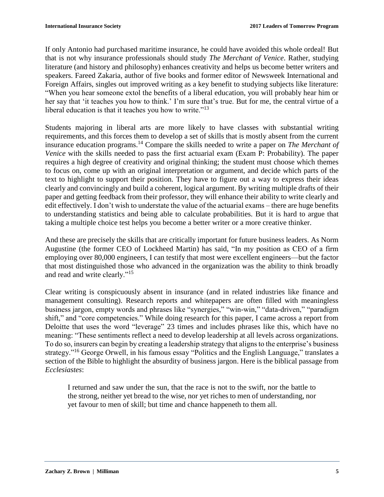If only Antonio had purchased maritime insurance, he could have avoided this whole ordeal! But that is not why insurance professionals should study *The Merchant of Venice*. Rather, studying literature (and history and philosophy) enhances creativity and helps us become better writers and speakers. Fareed Zakaria, author of five books and former editor of Newsweek International and Foreign Affairs, singles out improved writing as a key benefit to studying subjects like literature: "When you hear someone extol the benefits of a liberal education, you will probably hear him or her say that 'it teaches you how to think.' I'm sure that's true. But for me, the central virtue of a liberal education is that it teaches you how to write."<sup>13</sup>

Students majoring in liberal arts are more likely to have classes with substantial writing requirements, and this forces them to develop a set of skills that is mostly absent from the current insurance education programs.<sup>14</sup> Compare the skills needed to write a paper on *The Merchant of Venice* with the skills needed to pass the first actuarial exam (Exam P: Probability). The paper requires a high degree of creativity and original thinking; the student must choose which themes to focus on, come up with an original interpretation or argument, and decide which parts of the text to highlight to support their position. They have to figure out a way to express their ideas clearly and convincingly and build a coherent, logical argument. By writing multiple drafts of their paper and getting feedback from their professor, they will enhance their ability to write clearly and edit effectively. I don't wish to understate the value of the actuarial exams – there are huge benefits to understanding statistics and being able to calculate probabilities. But it is hard to argue that taking a multiple choice test helps you become a better writer or a more creative thinker.

And these are precisely the skills that are critically important for future business leaders. As Norm Augustine (the former CEO of Lockheed Martin) has said, "In my position as CEO of a firm employing over 80,000 engineers, I can testify that most were excellent engineers—but the factor that most distinguished those who advanced in the organization was the ability to think broadly and read and write clearly."<sup>15</sup>

Clear writing is conspicuously absent in insurance (and in related industries like finance and management consulting). Research reports and whitepapers are often filled with meaningless business jargon, empty words and phrases like "synergies," "win-win," "data-driven," "paradigm shift," and "core competencies." While doing research for this paper, I came across a report from Deloitte that uses the word "leverage" 23 times and includes phrases like this, which have no meaning: "These sentiments reflect a need to develop leadership at all levels across organizations. To do so, insurers can begin by creating a leadership strategy that aligns to the enterprise's business strategy."<sup>16</sup> George Orwell, in his famous essay "Politics and the English Language," translates a section of the Bible to highlight the absurdity of business jargon. Here is the biblical passage from *Ecclesiastes*:

I returned and saw under the sun, that the race is not to the swift, nor the battle to the strong, neither yet bread to the wise, nor yet riches to men of understanding, nor yet favour to men of skill; but time and chance happeneth to them all.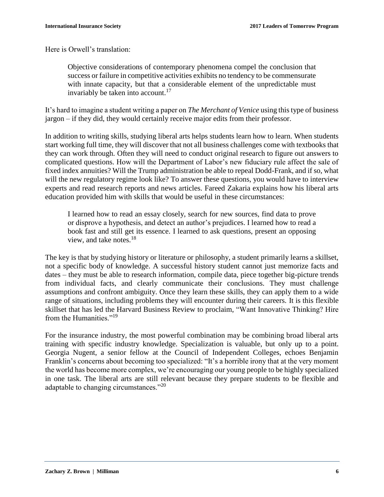Here is Orwell's translation:

Objective considerations of contemporary phenomena compel the conclusion that success or failure in competitive activities exhibits no tendency to be commensurate with innate capacity, but that a considerable element of the unpredictable must invariably be taken into account.<sup>17</sup>

It's hard to imagine a student writing a paper on *The Merchant of Venice* using this type of business jargon – if they did, they would certainly receive major edits from their professor.

In addition to writing skills, studying liberal arts helps students learn how to learn. When students start working full time, they will discover that not all business challenges come with textbooks that they can work through. Often they will need to conduct original research to figure out answers to complicated questions. How will the Department of Labor's new fiduciary rule affect the sale of fixed index annuities? Will the Trump administration be able to repeal Dodd-Frank, and if so, what will the new regulatory regime look like? To answer these questions, you would have to interview experts and read research reports and news articles. Fareed Zakaria explains how his liberal arts education provided him with skills that would be useful in these circumstances:

I learned how to read an essay closely, search for new sources, find data to prove or disprove a hypothesis, and detect an author's prejudices. I learned how to read a book fast and still get its essence. I learned to ask questions, present an opposing view, and take notes.<sup>18</sup>

The key is that by studying history or literature or philosophy, a student primarily learns a skillset, not a specific body of knowledge. A successful history student cannot just memorize facts and dates – they must be able to research information, compile data, piece together big-picture trends from individual facts, and clearly communicate their conclusions. They must challenge assumptions and confront ambiguity. Once they learn these skills, they can apply them to a wide range of situations, including problems they will encounter during their careers. It is this flexible skillset that has led the Harvard Business Review to proclaim, "Want Innovative Thinking? Hire from the Humanities."<sup>19</sup>

For the insurance industry, the most powerful combination may be combining broad liberal arts training with specific industry knowledge. Specialization is valuable, but only up to a point. Georgia Nugent, a senior fellow at the Council of Independent Colleges, echoes Benjamin Franklin's concerns about becoming too specialized: "It's a horrible irony that at the very moment the world has become more complex, we're encouraging our young people to be highly specialized in one task. The liberal arts are still relevant because they prepare students to be flexible and adaptable to changing circumstances."<sup>20</sup>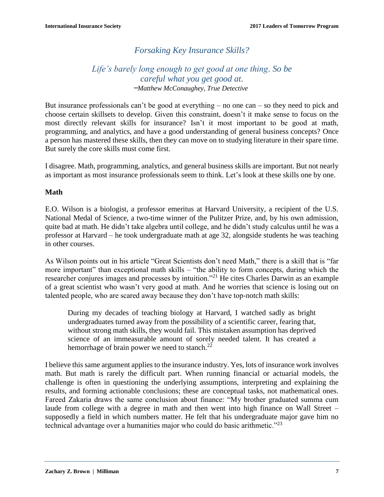# *Forsaking Key Insurance Skills?*

## *Life's barely long enough to get good at one thing. So be careful what you get good at. ̶Matthew McConaughey, True Detective*

But insurance professionals can't be good at everything – no one can – so they need to pick and choose certain skillsets to develop. Given this constraint, doesn't it make sense to focus on the most directly relevant skills for insurance? Isn't it most important to be good at math, programming, and analytics, and have a good understanding of general business concepts? Once a person has mastered these skills, then they can move on to studying literature in their spare time. But surely the core skills must come first.

I disagree. Math, programming, analytics, and general business skills are important. But not nearly as important as most insurance professionals seem to think. Let's look at these skills one by one.

#### **Math**

E.O. Wilson is a biologist, a professor emeritus at Harvard University, a recipient of the U.S. National Medal of Science, a two-time winner of the Pulitzer Prize, and, by his own admission, quite bad at math. He didn't take algebra until college, and he didn't study calculus until he was a professor at Harvard – he took undergraduate math at age 32, alongside students he was teaching in other courses.

As Wilson points out in his article "Great Scientists don't need Math," there is a skill that is "far more important" than exceptional math skills – "the ability to form concepts, during which the researcher conjures images and processes by intuition."<sup>21</sup> He cites Charles Darwin as an example of a great scientist who wasn't very good at math. And he worries that science is losing out on talented people, who are scared away because they don't have top-notch math skills:

During my decades of teaching biology at Harvard, I watched sadly as bright undergraduates turned away from the possibility of a scientific career, fearing that, without strong math skills, they would fail. This mistaken assumption has deprived science of an immeasurable amount of sorely needed talent. It has created a hemorrhage of brain power we need to stanch. $^{22}$ 

I believe this same argument applies to the insurance industry. Yes, lots of insurance work involves math. But math is rarely the difficult part. When running financial or actuarial models, the challenge is often in questioning the underlying assumptions, interpreting and explaining the results, and forming actionable conclusions; these are conceptual tasks, not mathematical ones. Fareed Zakaria draws the same conclusion about finance: "My brother graduated summa cum laude from college with a degree in math and then went into high finance on Wall Street – supposedly a field in which numbers matter. He felt that his undergraduate major gave him no technical advantage over a humanities major who could do basic arithmetic."<sup>23</sup>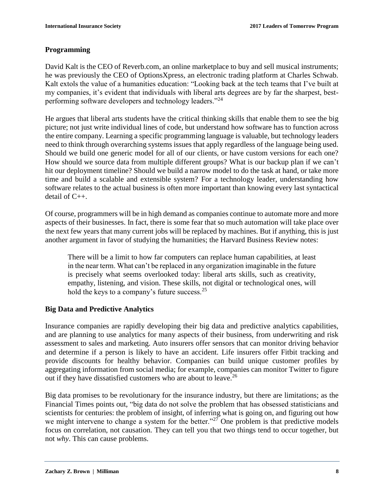#### **Programming**

David Kalt is the CEO of Reverb.com, an online marketplace to buy and sell musical instruments; he was previously the CEO of OptionsXpress, an electronic trading platform at Charles Schwab. Kalt extols the value of a humanities education: "Looking back at the tech teams that I've built at my companies, it's evident that individuals with liberal arts degrees are by far the sharpest, bestperforming software developers and technology leaders."<sup>24</sup>

He argues that liberal arts students have the critical thinking skills that enable them to see the big picture; not just write individual lines of code, but understand how software has to function across the entire company. Learning a specific programming language is valuable, but technology leaders need to think through overarching systems issues that apply regardless of the language being used. Should we build one generic model for all of our clients, or have custom versions for each one? How should we source data from multiple different groups? What is our backup plan if we can't hit our deployment timeline? Should we build a narrow model to do the task at hand, or take more time and build a scalable and extensible system? For a technology leader, understanding how software relates to the actual business is often more important than knowing every last syntactical detail of C++.

Of course, programmers will be in high demand as companies continue to automate more and more aspects of their businesses. In fact, there is some fear that so much automation will take place over the next few years that many current jobs will be replaced by machines. But if anything, this is just another argument in favor of studying the humanities; the Harvard Business Review notes:

There will be a limit to how far computers can replace human capabilities, at least in the near term. What can't be replaced in any organization imaginable in the future is precisely what seems overlooked today: liberal arts skills, such as creativity, empathy, listening, and vision. These skills, not digital or technological ones, will hold the keys to a company's future success.  $25$ 

#### **Big Data and Predictive Analytics**

Insurance companies are rapidly developing their big data and predictive analytics capabilities, and are planning to use analytics for many aspects of their business, from underwriting and risk assessment to sales and marketing. Auto insurers offer sensors that can monitor driving behavior and determine if a person is likely to have an accident. Life insurers offer Fitbit tracking and provide discounts for healthy behavior. Companies can build unique customer profiles by aggregating information from social media; for example, companies can monitor Twitter to figure out if they have dissatisfied customers who are about to leave.<sup>26</sup>

Big data promises to be revolutionary for the insurance industry, but there are limitations; as the Financial Times points out, "big data do not solve the problem that has obsessed statisticians and scientists for centuries: the problem of insight, of inferring what is going on, and figuring out how we might intervene to change a system for the better." $27$  One problem is that predictive models focus on correlation, not causation. They can tell you that two things tend to occur together, but not *why*. This can cause problems.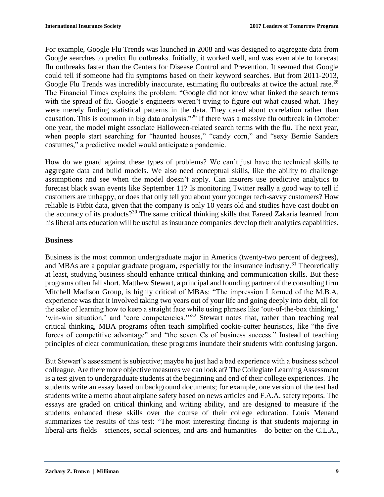For example, Google Flu Trends was launched in 2008 and was designed to aggregate data from Google searches to predict flu outbreaks. Initially, it worked well, and was even able to forecast flu outbreaks faster than the Centers for Disease Control and Prevention. It seemed that Google could tell if someone had flu symptoms based on their keyword searches. But from 2011-2013, Google Flu Trends was incredibly inaccurate, estimating flu outbreaks at twice the actual rate.<sup>28</sup> The Financial Times explains the problem: "Google did not know what linked the search terms with the spread of flu. Google's engineers weren't trying to figure out what caused what. They were merely finding statistical patterns in the data. They cared about correlation rather than causation. This is common in big data analysis."<sup>29</sup> If there was a massive flu outbreak in October one year, the model might associate Halloween-related search terms with the flu. The next year, when people start searching for "haunted houses," "candy corn," and "sexy Bernie Sanders" costumes," a predictive model would anticipate a pandemic.

How do we guard against these types of problems? We can't just have the technical skills to aggregate data and build models. We also need conceptual skills, like the ability to challenge assumptions and see when the model doesn't apply. Can insurers use predictive analytics to forecast black swan events like September 11? Is monitoring Twitter really a good way to tell if customers are unhappy, or does that only tell you about your younger tech-savvy customers? How reliable is Fitbit data, given that the company is only 10 years old and studies have cast doubt on the accuracy of its products?<sup>30</sup> The same critical thinking skills that Fareed Zakaria learned from his liberal arts education will be useful as insurance companies develop their analytics capabilities.

#### **Business**

Business is the most common undergraduate major in America (twenty-two percent of degrees), and MBAs are a popular graduate program, especially for the insurance industry.<sup>31</sup> Theoretically at least, studying business should enhance critical thinking and communication skills. But these programs often fall short. Matthew Stewart, a principal and founding partner of the consulting firm Mitchell Madison Group, is highly critical of MBAs: "The impression I formed of the M.B.A. experience was that it involved taking two years out of your life and going deeply into debt, all for the sake of learning how to keep a straight face while using phrases like 'out-of-the-box thinking,' 'win-win situation,' and 'core competencies.'"<sup>32</sup> Stewart notes that, rather than teaching real critical thinking, MBA programs often teach simplified cookie-cutter heuristics, like "the five forces of competitive advantage" and "the seven Cs of business success." Instead of teaching principles of clear communication, these programs inundate their students with confusing jargon.

But Stewart's assessment is subjective; maybe he just had a bad experience with a business school colleague. Are there more objective measures we can look at? The Collegiate Learning Assessment is a test given to undergraduate students at the beginning and end of their college experiences. The students write an essay based on background documents; for example, one version of the test had students write a memo about airplane safety based on news articles and F.A.A. safety reports. The essays are graded on critical thinking and writing ability, and are designed to measure if the students enhanced these skills over the course of their college education. Louis Menand summarizes the results of this test: "The most interesting finding is that students majoring in liberal-arts fields—sciences, social sciences, and arts and humanities—do better on the C.L.A.,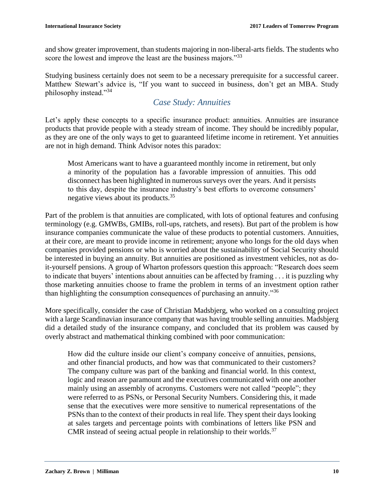and show greater improvement, than students majoring in non-liberal-arts fields. The students who score the lowest and improve the least are the business majors.<sup>33</sup>

Studying business certainly does not seem to be a necessary prerequisite for a successful career. Matthew Stewart's advice is, "If you want to succeed in business, don't get an MBA. Study philosophy instead."<sup>34</sup>

## *Case Study: Annuities*

Let's apply these concepts to a specific insurance product: annuities. Annuities are insurance products that provide people with a steady stream of income. They should be incredibly popular, as they are one of the only ways to get to guaranteed lifetime income in retirement. Yet annuities are not in high demand. Think Advisor notes this paradox:

Most Americans want to have a guaranteed monthly income in retirement, but only a minority of the population has a favorable impression of annuities. This odd disconnect has been highlighted in numerous surveys over the years. And it persists to this day, despite the insurance industry's best efforts to overcome consumers' negative views about its products.<sup>35</sup>

Part of the problem is that annuities are complicated, with lots of optional features and confusing terminology (e.g. GMWBs, GMIBs, roll-ups, ratchets, and resets). But part of the problem is how insurance companies communicate the value of these products to potential customers. Annuities, at their core, are meant to provide income in retirement; anyone who longs for the old days when companies provided pensions or who is worried about the sustainability of Social Security should be interested in buying an annuity. But annuities are positioned as investment vehicles, not as doit-yourself pensions. A group of Wharton professors question this approach: "Research does seem to indicate that buyers' intentions about annuities can be affected by framing . . . it is puzzling why those marketing annuities choose to frame the problem in terms of an investment option rather than highlighting the consumption consequences of purchasing an annuity."<sup>36</sup>

More specifically, consider the case of Christian Madsbjerg, who worked on a consulting project with a large Scandinavian insurance company that was having trouble selling annuities. Madsbjerg did a detailed study of the insurance company, and concluded that its problem was caused by overly abstract and mathematical thinking combined with poor communication:

How did the culture inside our client's company conceive of annuities, pensions, and other financial products, and how was that communicated to their customers? The company culture was part of the banking and financial world. In this context, logic and reason are paramount and the executives communicated with one another mainly using an assembly of acronyms. Customers were not called "people"; they were referred to as PSNs, or Personal Security Numbers. Considering this, it made sense that the executives were more sensitive to numerical representations of the PSNs than to the context of their products in real life. They spent their days looking at sales targets and percentage points with combinations of letters like PSN and CMR instead of seeing actual people in relationship to their worlds.<sup>37</sup>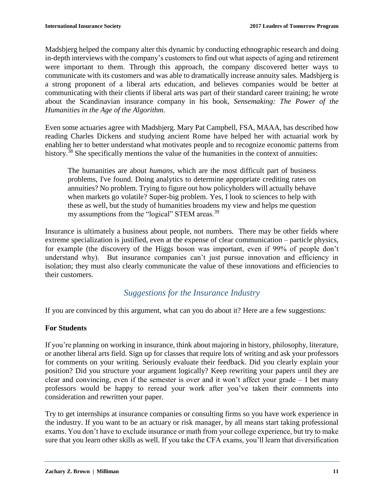Madsbjerg helped the company alter this dynamic by conducting ethnographic research and doing in-depth interviews with the company's customers to find out what aspects of aging and retirement were important to them. Through this approach, the company discovered better ways to communicate with its customers and was able to dramatically increase annuity sales. Madsbjerg is a strong proponent of a liberal arts education, and believes companies would be better at communicating with their clients if liberal arts was part of their standard career training; he wrote about the Scandinavian insurance company in his book, *Sensemaking: The Power of the Humanities in the Age of the Algorithm*.

Even some actuaries agree with Madsbjerg. Mary Pat Campbell, FSA, MAAA, has described how reading Charles Dickens and studying ancient Rome have helped her with actuarial work by enabling her to better understand what motivates people and to recognize economic patterns from history.<sup>38</sup> She specifically mentions the value of the humanities in the context of annuities:

The humanities are about *humans*, which are the most difficult part of business problems, I've found. Doing analytics to determine appropriate crediting rates on annuities? No problem. Trying to figure out how policyholders will actually behave when markets go volatile? Super-big problem. Yes, I look to sciences to help with these as well, but the study of humanities broadens my view and helps me question my assumptions from the "logical" STEM areas.<sup>39</sup>

Insurance is ultimately a business about people, not numbers. There may be other fields where extreme specialization is justified, even at the expense of clear communication – particle physics, for example (the discovery of the Higgs boson was important, even if 99% of people don't understand why). But insurance companies can't just pursue innovation and efficiency in isolation; they must also clearly communicate the value of these innovations and efficiencies to their customers.

## *Suggestions for the Insurance Industry*

If you are convinced by this argument, what can you do about it? Here are a few suggestions:

#### **For Students**

If you're planning on working in insurance, think about majoring in history, philosophy, literature, or another liberal arts field. Sign up for classes that require lots of writing and ask your professors for comments on your writing. Seriously evaluate their feedback. Did you clearly explain your position? Did you structure your argument logically? Keep rewriting your papers until they are clear and convincing, even if the semester is over and it won't affect your grade – I bet many professors would be happy to reread your work after you've taken their comments into consideration and rewritten your paper.

Try to get internships at insurance companies or consulting firms so you have work experience in the industry. If you want to be an actuary or risk manager, by all means start taking professional exams. You don't have to exclude insurance or math from your college experience, but try to make sure that you learn other skills as well. If you take the CFA exams, you'll learn that diversification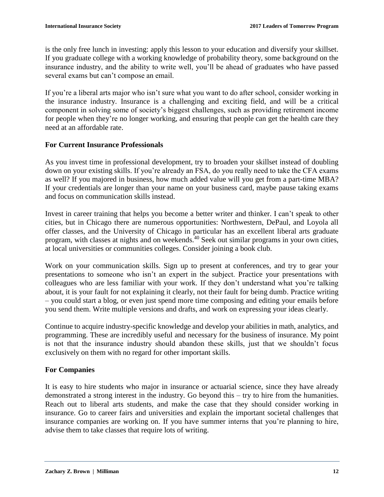is the only free lunch in investing: apply this lesson to your education and diversify your skillset. If you graduate college with a working knowledge of probability theory, some background on the insurance industry, and the ability to write well, you'll be ahead of graduates who have passed several exams but can't compose an email.

If you're a liberal arts major who isn't sure what you want to do after school, consider working in the insurance industry. Insurance is a challenging and exciting field, and will be a critical component in solving some of society's biggest challenges, such as providing retirement income for people when they're no longer working, and ensuring that people can get the health care they need at an affordable rate.

#### **For Current Insurance Professionals**

As you invest time in professional development, try to broaden your skillset instead of doubling down on your existing skills. If you're already an FSA, do you really need to take the CFA exams as well? If you majored in business, how much added value will you get from a part-time MBA? If your credentials are longer than your name on your business card, maybe pause taking exams and focus on communication skills instead.

Invest in career training that helps you become a better writer and thinker. I can't speak to other cities, but in Chicago there are numerous opportunities: Northwestern, DePaul, and Loyola all offer classes, and the University of Chicago in particular has an excellent liberal arts graduate program, with classes at nights and on weekends.<sup>40</sup> Seek out similar programs in your own cities, at local universities or communities colleges. Consider joining a book club.

Work on your communication skills. Sign up to present at conferences, and try to gear your presentations to someone who isn't an expert in the subject. Practice your presentations with colleagues who are less familiar with your work. If they don't understand what you're talking about, it is your fault for not explaining it clearly, not their fault for being dumb. Practice writing – you could start a blog, or even just spend more time composing and editing your emails before you send them. Write multiple versions and drafts, and work on expressing your ideas clearly.

Continue to acquire industry-specific knowledge and develop your abilities in math, analytics, and programming. These are incredibly useful and necessary for the business of insurance. My point is not that the insurance industry should abandon these skills, just that we shouldn't focus exclusively on them with no regard for other important skills.

#### **For Companies**

It is easy to hire students who major in insurance or actuarial science, since they have already demonstrated a strong interest in the industry. Go beyond this – try to hire from the humanities. Reach out to liberal arts students, and make the case that they should consider working in insurance. Go to career fairs and universities and explain the important societal challenges that insurance companies are working on. If you have summer interns that you're planning to hire, advise them to take classes that require lots of writing.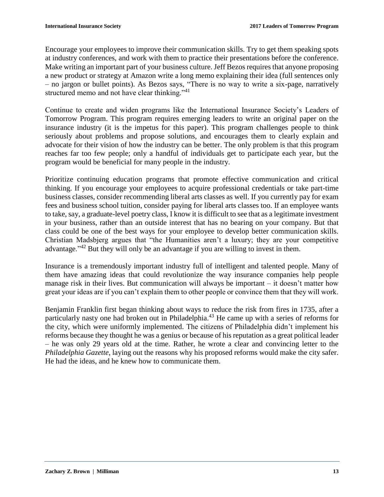Encourage your employees to improve their communication skills. Try to get them speaking spots at industry conferences, and work with them to practice their presentations before the conference. Make writing an important part of your business culture. Jeff Bezos requires that anyone proposing a new product or strategy at Amazon write a long memo explaining their idea (full sentences only – no jargon or bullet points). As Bezos says, "There is no way to write a six-page, narratively structured memo and not have clear thinking."<sup>41</sup>

Continue to create and widen programs like the International Insurance Society's Leaders of Tomorrow Program. This program requires emerging leaders to write an original paper on the insurance industry (it is the impetus for this paper). This program challenges people to think seriously about problems and propose solutions, and encourages them to clearly explain and advocate for their vision of how the industry can be better. The only problem is that this program reaches far too few people; only a handful of individuals get to participate each year, but the program would be beneficial for many people in the industry.

Prioritize continuing education programs that promote effective communication and critical thinking. If you encourage your employees to acquire professional credentials or take part-time business classes, consider recommending liberal arts classes as well. If you currently pay for exam fees and business school tuition, consider paying for liberal arts classes too. If an employee wants to take, say, a graduate-level poetry class, I know it is difficult to see that as a legitimate investment in your business, rather than an outside interest that has no bearing on your company. But that class could be one of the best ways for your employee to develop better communication skills. Christian Madsbjerg argues that "the Humanities aren't a luxury; they are your competitive advantage."<sup>42</sup> But they will only be an advantage if you are willing to invest in them.

Insurance is a tremendously important industry full of intelligent and talented people. Many of them have amazing ideas that could revolutionize the way insurance companies help people manage risk in their lives. But communication will always be important – it doesn't matter how great your ideas are if you can't explain them to other people or convince them that they will work.

Benjamin Franklin first began thinking about ways to reduce the risk from fires in 1735, after a particularly nasty one had broken out in Philadelphia.<sup>43</sup> He came up with a series of reforms for the city, which were uniformly implemented. The citizens of Philadelphia didn't implement his reforms because they thought he was a genius or because of his reputation as a great political leader – he was only 29 years old at the time. Rather, he wrote a clear and convincing letter to the *Philadelphia Gazette*, laying out the reasons why his proposed reforms would make the city safer. He had the ideas, and he knew how to communicate them.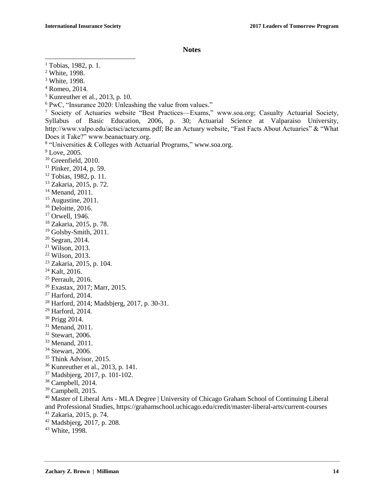**Notes**

 $\overline{\phantom{a}}$ 

- Romeo, 2014.
- $<sup>5</sup>$  Kunreuther et al., 2013, p. 10.</sup>
- PwC, "Insurance 2020: Unleashing the value from values."

- Greenfield, 2010.
- Pinker, 2014, p. 59.
- Tobias, 1982, p. 11.
- Zakaria, 2015, p. 72.
- <sup>14</sup> Menand, 2011.
- Augustine, 2011.
- <sup>16</sup> Deloitte, 2016.
- <sup>17</sup> Orwell, 1946.
- Zakaria, 2015, p. 78.
- <sup>19</sup> Golsby-Smith, 2011.
- Segran, 2014.
- Wilson, 2013.
- Wilson, 2013.
- Zakaria, 2015, p. 104.
- Kalt, 2016.
- <sup>25</sup> Perrault, 2016.
- Exastax, 2017; Marr, 2015.
- Harford, 2014.
- Harford, 2014; Madsbjerg, 2017, p. 30-31.
- Harford, 2014.
- Prigg 2014.
- Menand, 2011.
- Stewart, 2006.
- <sup>33</sup> Menand, 2011.
- <sup>34</sup> Stewart, 2006.
- <sup>35</sup> Think Advisor, 2015.
- Kunreuther et al., 2013, p. 141.
- Madsbjerg, 2017, p. 101-102.
- Campbell, 2014.
- Campbell, 2015.

- Zakaria, 2015, p. 74.
- Madsbjerg, 2017, p. 208.
- White, 1998.

Tobias, 1982, p. 1.

White, 1998.

White, 1998.

 Society of Actuaries website "Best Practices—Exams," www.soa.org; Casualty Actuarial Society, Syllabus of Basic Education, 2006, p. 30; Actuarial Science at Valparaiso University, http://www.valpo.edu/actsci/actexams.pdf; Be an Actuary website, "Fast Facts About Actuaries" & "What Does it Take?" www.beanactuary.org.

"Universities & Colleges with Actuarial Programs," www.soa.org.

<sup>&</sup>lt;sup>9</sup> Love, 2005.

 Master of Liberal Arts - MLA Degree | University of Chicago Graham School of Continuing Liberal and Professional Studies, https://grahamschool.uchicago.edu/credit/master-liberal-arts/current-courses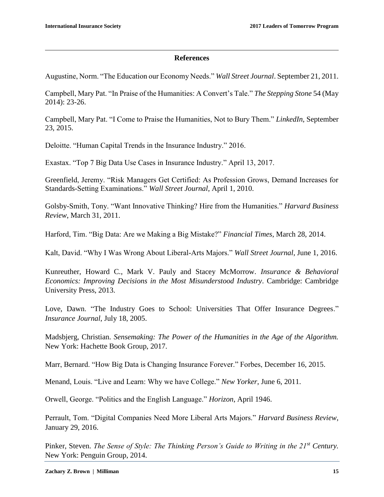$\overline{\phantom{a}}$ 

#### **References**

Augustine, Norm. "The Education our Economy Needs." *Wall Street Journal*. September 21, 2011.

Campbell, Mary Pat. "In Praise of the Humanities: A Convert's Tale." *The Stepping Stone* 54 (May 2014): 23-26.

Campbell, Mary Pat. "I Come to Praise the Humanities, Not to Bury Them." *LinkedIn*, September 23, 2015.

Deloitte. "Human Capital Trends in the Insurance Industry." 2016.

Exastax. "Top 7 Big Data Use Cases in Insurance Industry." April 13, 2017.

Greenfield, Jeremy. "Risk Managers Get Certified: As Profession Grows, Demand Increases for Standards-Setting Examinations." *Wall Street Journal*, April 1, 2010.

Golsby-Smith, Tony. "Want Innovative Thinking? Hire from the Humanities." *Harvard Business Review*, March 31, 2011.

Harford, Tim. "Big Data: Are we Making a Big Mistake?" *Financial Times*, March 28, 2014.

Kalt, David. "Why I Was Wrong About Liberal-Arts Majors." *Wall Street Journal*, June 1, 2016.

Kunreuther, Howard C., Mark V. Pauly and Stacey McMorrow. *Insurance & Behavioral Economics: Improving Decisions in the Most Misunderstood Industry*. Cambridge: Cambridge University Press, 2013.

Love, Dawn. "The Industry Goes to School: Universities That Offer Insurance Degrees." *Insurance Journal*, July 18, 2005.

Madsbjerg, Christian. *Sensemaking: The Power of the Humanities in the Age of the Algorithm.* New York: Hachette Book Group, 2017.

Marr, Bernard. "How Big Data is Changing Insurance Forever." Forbes, December 16, 2015.

Menand, Louis. "Live and Learn: Why we have College." *New Yorker*, June 6, 2011.

Orwell, George. "Politics and the English Language." *Horizon*, April 1946.

Perrault, Tom. "Digital Companies Need More Liberal Arts Majors." *Harvard Business Review*, January 29, 2016.

Pinker, Steven. *The Sense of Style: The Thinking Person's Guide to Writing in the 21st Century.* New York: Penguin Group, 2014.